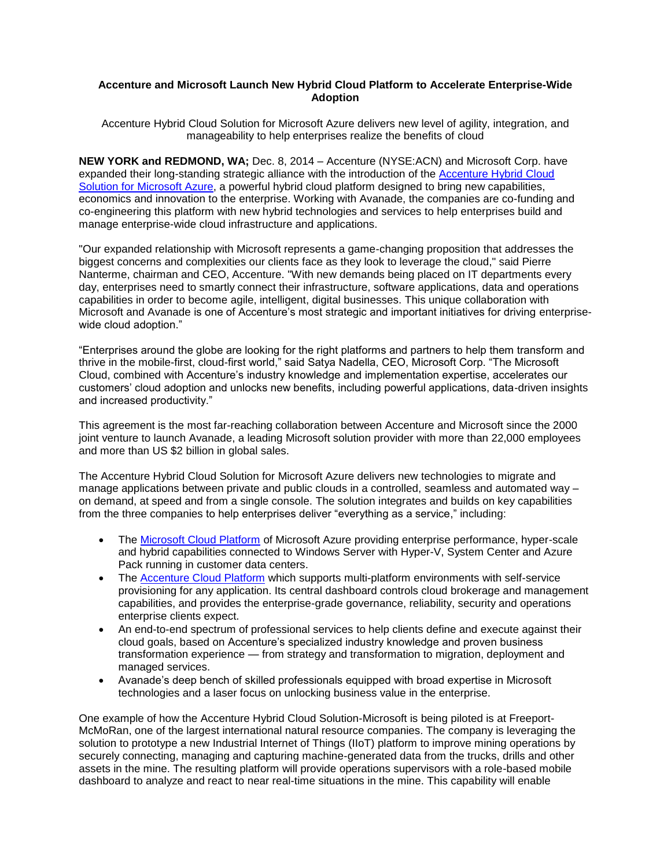## **Accenture and Microsoft Launch New Hybrid Cloud Platform to Accelerate Enterprise-Wide Adoption**

Accenture Hybrid Cloud Solution for Microsoft Azure delivers new level of agility, integration, and manageability to help enterprises realize the benefits of cloud

**NEW YORK and REDMOND, WA;** Dec. 8, 2014 – Accenture (NYSE:ACN) and Microsoft Corp. have expanded their long-standing strategic alliance with the introduction of the [Accenture Hybrid Cloud](http://www.accenture.com/hybridcloud)  Solution [for Microsoft](http://www.accenture.com/hybridcloud) Azure, a powerful hybrid cloud platform designed to bring new capabilities, economics and innovation to the enterprise. Working with Avanade, the companies are co-funding and co-engineering this platform with new hybrid technologies and services to help enterprises build and manage enterprise-wide cloud infrastructure and applications.

"Our expanded relationship with Microsoft represents a game-changing proposition that addresses the biggest concerns and complexities our clients face as they look to leverage the cloud," said Pierre Nanterme, chairman and CEO, Accenture. "With new demands being placed on IT departments every day, enterprises need to smartly connect their infrastructure, software applications, data and operations capabilities in order to become agile, intelligent, digital businesses. This unique collaboration with Microsoft and Avanade is one of Accenture's most strategic and important initiatives for driving enterprisewide cloud adoption."

"Enterprises around the globe are looking for the right platforms and partners to help them transform and thrive in the mobile-first, cloud-first world," said Satya Nadella, CEO, Microsoft Corp. "The Microsoft Cloud, combined with Accenture's industry knowledge and implementation expertise, accelerates our customers' cloud adoption and unlocks new benefits, including powerful applications, data-driven insights and increased productivity."

This agreement is the most far-reaching collaboration between Accenture and Microsoft since the 2000 joint venture to launch Avanade, a leading Microsoft solution provider with more than 22,000 employees and more than US \$2 billion in global sales.

The Accenture Hybrid Cloud Solution for Microsoft Azure delivers new technologies to migrate and manage applications between private and public clouds in a controlled, seamless and automated way – on demand, at speed and from a single console. The solution integrates and builds on key capabilities from the three companies to help enterprises deliver "everything as a service," including:

- The [Microsoft Cloud Platform](http://www.microsoft.com/enterprise/microsoftcloud/platform/default.aspx#fbid=QT1AWSGuTll) of Microsoft Azure providing enterprise performance, hyper-scale and hybrid capabilities connected to Windows Server with Hyper-V, System Center and Azure Pack running in customer data centers.
- The [Accenture Cloud Platform](http://www.accenture.com/microsites/cloud-platform/Pages/home.aspx) which supports multi-platform environments with self-service provisioning for any application. Its central dashboard controls cloud brokerage and management capabilities, and provides the enterprise-grade governance, reliability, security and operations enterprise clients expect.
- An end-to-end spectrum of professional services to help clients define and execute against their cloud goals, based on Accenture's specialized industry knowledge and proven business transformation experience — from strategy and transformation to migration, deployment and managed services.
- Avanade's deep bench of skilled professionals equipped with broad expertise in Microsoft technologies and a laser focus on unlocking business value in the enterprise.

One example of how the Accenture Hybrid Cloud Solution-Microsoft is being piloted is at Freeport-McMoRan, one of the largest international natural resource companies. The company is leveraging the solution to prototype a new Industrial Internet of Things (IIoT) platform to improve mining operations by securely connecting, managing and capturing machine-generated data from the trucks, drills and other assets in the mine. The resulting platform will provide operations supervisors with a role-based mobile dashboard to analyze and react to near real-time situations in the mine. This capability will enable